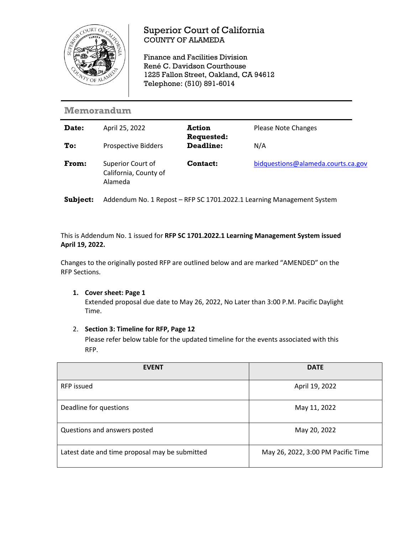

## Superior Court of California COUNTY OF ALAMEDA

Finance and Facilities Division René C. Davidson Courthouse 1225 Fallon Street, Oakland, CA 94612 Telephone: (510) 891-6014

## **Memorandum**

| Date: | April 25, 2022                                        | <b>Action</b><br>Requested: | <b>Please Note Changes</b>         |
|-------|-------------------------------------------------------|-----------------------------|------------------------------------|
| To:   | <b>Prospective Bidders</b>                            | Deadline:                   | N/A                                |
| From: | Superior Court of<br>California, County of<br>Alameda | <b>Contact:</b>             | bidquestions@alameda.courts.ca.gov |

**Subject:** Addendum No. 1 Repost – RFP SC 1701.2022.1 Learning Management System

This is Addendum No. 1 issued for **RFP SC 1701.2022.1 Learning Management System issued April 19, 2022.**

Changes to the originally posted RFP are outlined below and are marked "AMENDED" on the RFP Sections.

**1. Cover sheet: Page 1**

Extended proposal due date to May 26, 2022, No Later than 3:00 P.M. Pacific Daylight Time.

2. **Section 3: Timeline for RFP, Page 12**

Please refer below table for the updated timeline for the events associated with this RFP.

| <b>EVENT</b>                                   | <b>DATE</b>                        |
|------------------------------------------------|------------------------------------|
| <b>RFP</b> issued                              | April 19, 2022                     |
| Deadline for questions                         | May 11, 2022                       |
| Questions and answers posted                   | May 20, 2022                       |
| Latest date and time proposal may be submitted | May 26, 2022, 3:00 PM Pacific Time |